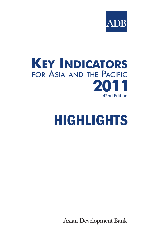



# HIGHLIGHTS

**Asian Development Bank**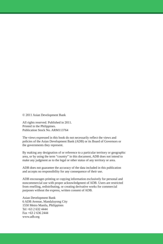© 2011 Asian Development Bank

All rights reserved. Published in 2011. Printed in the Philippines. Publication Stock No. ARM113764

The views expressed in this book do not necessarily reflect the views and policies of the Asian Development Bank (ADB) or its Board of Governors or the governments they represent.

By making any designation of or reference to a particular territory or geographic area, or by using the term "country" in this document, ADB does not intend to make any judgment as to the legal or other status of any territory or area.

ADB does not guarantee the accuracy of the data included in this publication and accepts no responsibility for any consequence of their use.

ADB encourages printing or copying information exclusively for personal and noncommercial use with proper acknowledgment of ADB. Users are restricted from reselling, redistributing, or creating derivative works for commercial purposes without the express, written consent of ADB.

Asian Development Bank 6 ADB Avenue, Mandaluyong City 1550 Metro Manila, Philippines Tel +63 2 632 4444 Fax +63 2 636 2444 www.adb.org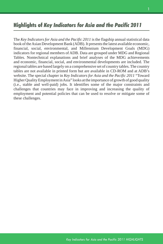# Highlights of *Key Indicators for Asia and the Pacific 2011*

The *Key Indicators for Asia and the Pacific 2011* is the flagship annual statistical data book of the Asian Development Bank (ADB). It presents the latest available economic, financial, social, environmental, and Millennium Development Goals (MDG) indicators for regional members of ADB. Data are grouped under MDG and Regional Tables. Nontechnical explanations and brief analyses of the MDG achievements and economic, financial, social, and environmental developments are included. The regional tables are based largely on a comprehensive set of country tables. The country tables are not available in printed form but are available in CD-ROM and at ADB's website. The special chapter in *Key Indicators for Asia and the Pacific 2011* "Toward Higher Quality Employment in Asia" looks at the importance of growth of good quality (i.e., stable and well-paid) jobs. It identifies some of the major constraints and challenges that countries may face in improving and increasing the quality of employment and potential policies that can be used to resolve or mitigate some of these challenges.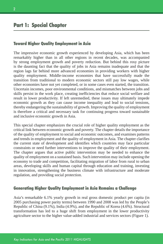# Part 1: Special Chapter

## Toward Higher Quality Employment in Asia

The impressive economic growth experienced by developing Asia, which has been remarkably higher than in all other regions in recent decades, was accompanied by strong employment growth and poverty reduction. But behind this rosy picture is the daunting fact that the quality of jobs in Asia remains inadequate and that the region lags far behind more advanced economies in providing workers with higher quality employment. Middle-income economies that have successfully made the transition from traditional to modern economic sectors still pay low wages, while other economies have not yet completed, or in some cases even started, the transition. Uncertain incomes, poor environmental conditions, and mismatches between jobs and skills persist in the work place, creating inefficiencies that reduce social welfare and result in lower productivity. If left unremedied, these issues may ultimately impede economic growth as they can cause income inequality and lead to social tensions, thereby endangering the sustainability of growth. Improving the quality of employment is therefore a critical and necessary task for continuing progress toward sustainable and inclusive economic growth in Asia.

This special chapter emphasizes the crucial role of higher quality employment as the critical link between economic growth and poverty. The chapter details the importance of the quality of employment to social and economic outcomes, and examines patterns and trends in employment and the quality of employment in Asia. The chapter clarifies the current state of development and identifies which countries may face particular constraints or need further interventions to improve the quality of their employment. The chapter argues that active public intervention may be needed to enhance the quality of employment on a sustained basis. Such intervention may include opening the economy to trade and competition, facilitating migration of labor from rural to urban areas, developing skills and human capital through education and training, investing in innovation, strengthening the business climate with infrastructure and moderate regulation, and providing social protection.

## Generating Higher Quality Employment in Asia Remains a Challenge

Asia's remarkable 6.1% yearly growth in real gross domestic product per capita (in 2005 purchasing power parity terms) between 1990 and 2008 was led by the People's Republic of China (9.1%), India (4.9%), and the Republic of Korea (4.6%). Structural transformation has led to a huge shift from employment in the lower productivity agriculture sector to the higher value-added industrial and services sectors (Figure 1).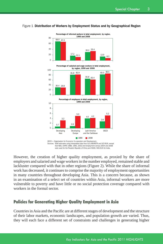## Figure 1 Distribution of Workers by Employment Status and by Geographical Region



However, the creation of higher quality employment, as proxied by the share of employers and salaried and wage workers in the number employed, remained stable and lackluster compared with that in other regions (Figure 2). While the share of informal work has decreased, it continues to comprise the majority of employment opportunities in many countries throughout developing Asia. This is a concern because, as shown in an examination of a select set of countries within Asia, informal workers are more vulnerable to poverty and have little or no social protection coverage compared with workers in the formal sector.

## Policies for Generating Higher Quality Employment in Asia

Countries in Asia and the Pacific are at different stages of development and the structure of their labor markets, economic landscapes, and population growth are varied. Thus, they will each face a different set of constraints and challenges in generating higher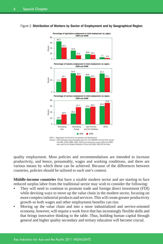## Figure 2 Distribution of Workers by Sector of Employment and by Geographical Region Figure 2 Distribution of Workers by Sector of Employment and by Geographical Region



quality employment. Most policies and recommendations are intended to increase productivity, and hence, presumably, wages and working conditions, and there are various means by which these can be achieved. Because of the differences between countries, policies should be tailored to each one's context.

**Middle-income countries** that have a sizable modern sector and are starting to face reduced surplus labor from the traditional sector may wish to consider the following:

- They will need to continue to promote trade and foreign direct investment (FDI) while devising ways to move up the value chain in the modern sector, focusing on more complex industrial products and services. This will create greater productivity growth so both wages and other employment benefits can rise.
- Moving up the value chain and into a more industrialized and service-oriented economy, however, will require a work force that has increasingly flexible skills and that brings innovative thinking to the table. Thus, building human capital through general and higher quality secondary and tertiary education will become crucial.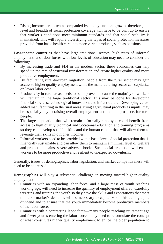Rising incomes are often accompanied by highly unequal growth, therefore, the level and breadth of social protection coverage will have to be built up to ensure that worker's conditions meet minimum standards and that social stability is maintained. This will require diversifying the types of social protection measures provided from basic health care into more varied products, such as pensions.

**Low-income countries** that have large traditional sectors, high rates of informal employment, and labor forces with low levels of education may need to consider the following:

- By increasing trade and FDI in the modern sector, these economies can help speed up the rate of structural transformation and create higher quality and more productive employment.
- • By facilitating rural-to-urban migration, people from the rural sector may gain access to higher quality employment while the manufacturing sector can capitalize on lower labor cost.
- Productivity in rural areas needs to be improved, because the majority of workers will remain in the large traditional sector. This may be done by developing financial services, technological innovation, and infrastructure. Developing valueadded manufacturing in the rural areas, using agricultural products as inputs, may be especially key to raising overall employment and income prospects for rural people.
- The large population that will remain informally employed could benefit from access to high quality technical and vocational education and training programs so they can develop specific skills and the human capital that will allow them to leverage their skills into higher incomes.
- Informal workers need to be provided with a basic level of social protection that is financially sustainable and can allow them to maintain a minimal level of welfare and protection against severe adverse shocks. Such social protection will enable workers to be more productive and resilient to unexpected downturns.

Generally, issues of demographics, labor legislation, and market competitiveness will need to be addressed.

**Demographics** will play a substantial challenge in moving toward higher quality employment.

- Countries with an expanding labor force, and a large mass of youth reaching working age, will need to increase the quantity of employment offered. Carefully targeting and training the youth so they have the skills and expectations that meet the labor market's demands will be necessary to capitalize on this demographic dividend and to ensure that the youth immediately become productive members of the labor force.
- Countries with a contracting labor force—many people reaching retirement age and fewer youths entering the labor force—may need to reformulate the concept of what constitutes higher quality employment to entice the older population to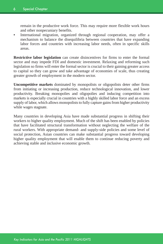remain in the productive work force. This may require more flexible work hours and other nonpecuniary benefits.

• International migration, organized through regional cooperation, may offer a mechanism to balance the disequilibria between countries that have expanding labor forces and countries with increasing labor needs, often in specific skills areas.

**Restrictive labor legislation** can create disincentives for firms to enter the formal sector and may impede FDI and domestic investment. Relaxing and reforming such legislation so firms will enter the formal sector is crucial to their gaining greater access to capital so they can grow and take advantage of economies of scale, thus creating greater growth of employment in the modern sector.

**Uncompetitive markets** dominated by monopolists or oligopolists deter other firms from initiating or increasing production, reduce technological innovation, and lower productivity. Breaking monopolies and oligopolies and inducing competition into markets is especially crucial in countries with a highly skilled labor force and an excess supply of labor, which allows monopolists to fully capture gains from higher productivity while wages stagnate.

Many countries in developing Asia have made substantial progress in shifting their workers to higher quality employment. Much of the shift has been enabled by policies that have facilitated structural transformation without neglecting the welfare of the rural workers. With appropriate demand- and supply-side policies and some level of social protection, Asian countries can make substantial progress toward developing higher quality employment that will enable them to continue reducing poverty and achieving stable and inclusive economic growth.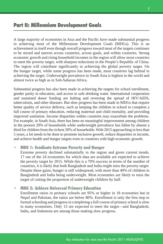# Part II: Millennium Development Goals

A large majority of economies in Asia and the Pacific have made substantial progress in achieving most of the Millennium Development Goals (MDGs). This is an achievement in itself even though overall progress toward most of the targets continues to be mixed and uneven across countries, across goals, and within countries. Strong economic growth and rising household incomes in the region will allow most countries to meet the poverty target, with sharpest reductions in the People's Republic of China. The region will contribute significantly to achieving the global poverty target. On the hunger target, while some progress has been made, most countries lag behind in achieving the target. Underweight prevalence in South Asia is highest in the world and almost twice as high as in Sub-Saharan Africa.

Substantial progress has also been made in achieving the targets for school enrollment, gender parity in education, and access to safe drinking water. International cooperation and sustained donor funding are halting and reversing the spread of HIV/AIDS, tuberculosis, and other diseases. But slow progress has been made in MDGs that require better quality of service delivery, such as keeping the children in school to complete a full course of primary education, reducing maternal and child mortality, and providing improved sanitation. Income disparities within countries may exacerbate the problems. For example, in South Asia, there has been no meaningful improvement among children in the poorest 20% of households while underweight prevalence has fallen by almost a third for children from the richest 20% of households. With 2015 approaching in less than 5 years, a lot needs to be done to promote inclusive growth, reduce disparities in income, and achieve health and hunger targets even in countries with high economic growth.

#### **MDG 1: Eradicate Extreme Poverty and Hunger**

Extreme poverty declined substantially in the region and given current trends, 17 out of the 24 economies for which data are available are expected to achieve the poverty target by 2015. While this is a 70% success in terms of the number of countries, it is likely that both Bangladesh and India might miss the poverty target. Despite these gains, hunger is still widespread, with more than 40% of children in Bangladesh and India being underweight. Most economies are likely to miss the target of cutting the proportion of underweight children by half.

## • MDG 2: Achieve Universal Primary Education

Enrollment ratios in primary schools are 95% or higher in 18 economies but in Nepal and Pakistan, the ratios are below 80%. Enrollment is only the first step to formal schooling and progress in completing a full course of primary school is slow in many economies. Only 13 are expected to meet the target—and Bangladesh, India, and Indonesia are among those making slow progress.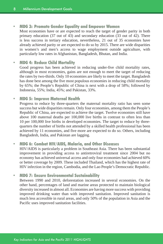### • MDG 3: Promote Gender Equality and Empower Women

Most economies have or are expected to reach the target of gender parity in both primary education (37 out of 43) and secondary education (33 out of 42). There is less success in tertiary education, nevertheless, 21 out of 35 economies have already achieved parity or are expected to do so by 2015. There are wide disparities in women's and men's access to wage employment outside agriculture, with particularly low rates in Afghanistan, Bangladesh, Bhutan, and India.

#### • MDG 4: Reduce Child Mortality

Good progress has been achieved in reducing under-five child mortality rates, although in most economies, gains are not enough to meet the target of reducing the rates by two-thirds. Only 10 economies are likely to meet the target. Bangladesh has done best among the five most populous economies in reducing child mortality by 65%; the People's Republic of China is next with a drop of 58%; followed by Indonesia, 55%; India, 45%; and Pakistan, 33%.

#### **MDG 5: Improve Maternal Health**

Progress to reduce by three-quarters the maternal mortality ratio has seen some success but wide disparities remain. Only four economies, among them the People's Republic of China, are expected to achieve the target. Twelve economies still have above 100 maternal deaths per 100,000 live births in contrast to often less than 10 per 100,000 live births in developed economies. The target to reduce by threequarters the number of births not attended by a skilled health professional has been achieved by 11 economies, and five more are expected to do so. Others, including Bangladesh, India, and Pakistan are lagging.

#### • MDG 6: Combat HIV/AIDS, Malaria, and Other Diseases

HIV/AIDS is particularly a problem in Southeast Asia. There has been substantial improvement in providing access to antiretroviral treatment since 2004 but no economy has achieved universal access and only four economies had achieved 60% or better coverage by 2009. These included Thailand, which has the highest rate of HIV infection in the region, Cambodia, and the Lao People's Democratic Republic.

## • MDG 7: Ensure Environmental Sustainability

Between 1990 and 2010, deforestation increased in several economies. On the other hand, percentages of land and marine areas protected to maintain biological diversity increased in almost all. Economies are having more success with providing improved drinking water than with improved sanitation. Improved sanitation is much less accessible in rural areas, and only 50% of the population in Asia and the Pacific uses improved sanitation facilities.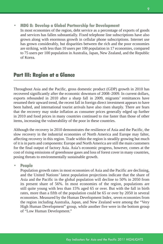## **MDG 8: Develop a Global Partnership for Development**

In most economies of the region, debt service as a percentage of exports of goods and services has fallen substantially. Fixed telephone line subscriptions have also grown along with enormous growth in cellular phone subscriptions. Internet use has grown considerably, but disparities between the rich and the poor economies are striking, with less than 10 users per 100 population in 17 economies, compared to 75 users per 100 population in Australia, Japan, New Zealand, and the Republic of Korea.

# Part III: Region at a Glance

Throughout Asia and the Pacific, gross domestic product (GDP) growth in 2010 has recovered significantly after the economic downturn of 2008–2009. In current dollars, exports rebounded in 2010 after a sharp fall in 2009, migrants' remittances have resumed their upward trend, the recent fall in foreign direct investment appears to have been halted, and international tourist arrivals have also risen sharply. There are fears that the recovery may stoke inflation as consumer prices generally edged up further in 2010 and food prices in many countries continued to rise faster than those of other items, increasing the vulnerability of the poor in these countries.

Although the recovery in 2010 demonstrates the resilience of Asia and the Pacific, the slow recovery in the industrial economies of North America and Europe may falter, affecting recovery in this region. Trade within the region is steadily growing but much of it is in parts and components: Europe and North America are still the main customers for the final output of factory Asia. Asia's economic progress, however, comes at the cost of rising emissions of greenhouse gases and loss of forest cover in many countries, posing threats to environmentally sustainable growth.

#### **People**

Population growth rates in most economies of Asia and the Pacific are declining, and the United Nations' latest population projections indicate that the share of Asia and the Pacific in the global population will decline to 50% in 2050 from its present share of 56%. In most economies of the region, populations are still quite young with less than 15% aged 65 or over. But with the fall in birth rates, more than a fifth of the population could be 65 or over by 2050 in several economies. Measured by the Human Development Index, seven economies from the region including Australia, Japan, and New Zealand were among the "Very High Human Development" group, while another five were in the bottom group of "Low Human Development."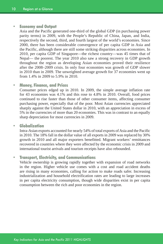#### **Economy and Output**

Asia and the Pacific generated one-third of the global GDP (in purchasing power parity terms) in 2009, with the People's Republic of China, Japan, and India, respectively the second, third, and fourth largest of the world's economies. Since 2000, there has been considerable convergence of per capita GDP in Asia and the Pacific, although there are still some striking disparities across economies. In 2010, per capita GDP of Singapore—the richest country—was 45 times that of Nepal— the poorest. The year 2010 also saw a strong recovery in GDP growth throughout the region as developing Asian economies proved their resilience after the 2008–2009 crisis. In only four economies was growth of GDP slower in 2010 than in 2009. The unweighted average growth for 37 economies went up from 1.4% in 2009 to 5.9% in 2010.

#### • Money, Finance, and Prices

Consumer prices edged up in 2010. In 2009, the simple average inflation rate for 43 economies was 4.1% and this rose to 4.8% in 2010. Overall, food prices continued to rise faster than those of other consumer items, affecting consumer purchasing power, especially that of the poor. Most Asian currencies appreciated sharply against the United States dollar in 2010, with an appreciation in excess of 5% in the currencies of more than 20 economies. This was in contrast to an equally sharp depreciation for most currencies in 2009.

#### • Globalization

Intra-Asian exports accounted for nearly 54% of total exports of Asia and the Pacific in 2010. The 18% fall in the dollar value of all exports in 2009 was replaced by 30% growth in 2010 and all major exporters benefitted. Migrant workers' remittances recovered in countries where they were affected by the economic crisis in 2009 and international tourist arrivals and tourism receipts have also rebounded.

## • Transport, Electricity, and Communications

Vehicle ownership is growing rapidly together with expansion of road networks in the region. Higher vehicle use comes with a cost and road accident deaths are rising in many economies, calling for action to make roads safer. Increasing industrialization and household electrification rates are leading to large increases in per capita electricity consumption, though wide disparities exist in per capita consumption between the rich and poor economies in the region.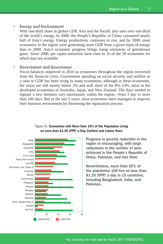#### • Energy and Environment

With one-third share in global GDP, Asia and the Pacific also uses over one-third of the world's energy. In 2008, the People's Republic of China consumed nearly half of Asia's energy. Energy productivity continues to rise, and by 2008, most economies in the region were generating more GDP from a given input of energy than in 2000. Asia's economic progress brings rising emissions of greenhouse gases. Since 2000, per capita emissions have risen in 16 of the 20 economies for which data are available.

## **Government and Governance**

Fiscal balances improved in 2010 as economies throughout the region recovered from the financial crisis. Government spending on social security and welfare as a ratio to GDP has been rising in many economies, although in these economies, the ratios are still mostly below 3% and well short of the 8%–14% ratios in the developed economies of Australia, Japan, and New Zealand. The days needed to register a new business vary enormously within the region—from 1 day to more than 100 days. But in the last 5 years, most economies have managed to improve their business environment by shortening the registration process.



#### Figure H1 Economies with More than 10% of the Population Living on Less than \$1.25 (PPP) a Day, Earliest and Latest Years

Progress in poverty reduction in the region is encouraging, with large reductions in the number of poor achieved in the People's Republic of China, Pakistan, and Viet Nam.

Nevertheless, more than 20% of the population still live on less than \$1.25 (PPP) a day in 15 countries, including Bangladesh, India, and Pakistan.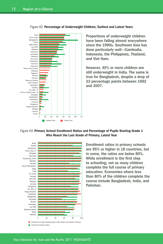

Figure H2 Percentage of Underweight Children, Earliest and Latest Years

Proportions of underweight children have been falling almost everywhere since the 1990s. Southeast Asia has done particularly well—Cambodia, Indonesia, the Philippines, Thailand, and Viet Nam.

However, 40% or more children are still underweight in India. The same is true for Bangladesh, despite a drop of 23 percentage points between 1992 and 2007.

#### Figure H3 Primary School Enrollment Ratios and Percentage of Pupils Starting Grade 1 Who Reach the Last Grade of Primary, Latest Year



Enrollment ratios in primary schools are 95% or higher in 18 countries, but in some, the ratios are below 80%. While enrollment is the first step to schooling, not as many children complete the full course of primary education. Economies where less than 80% of the children complete the course include Bangladesh, India, and Pakistan.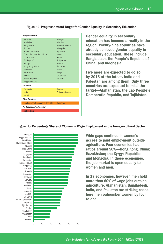| Armenia                          | Malaysia         |
|----------------------------------|------------------|
| Azerbaiian                       | Maldives         |
| Bangladesh                       | Marshall Islands |
| <b>Rhutan</b>                    | Mongolia         |
| <b>Brunei Darussalam</b>         | Myanmar          |
| China, People's Republic of      | Naunu            |
| Cook Islands                     | Palau            |
| Fiji, Rep. of                    | Philippines      |
| Georgia                          | Samoa            |
| Hong Kong, China                 | Sri Lanka        |
| Indonesia                        | Thailand         |
| Kazakhstan                       | Tonga            |
| Kirihati                         | Uzbekistan       |
| Korea, Republic of               | Vanuatu          |
| Kyrgyz Republic                  |                  |
| On Track                         |                  |
| Cambodia                         | Pakistan         |
| India                            | Solomon Islands  |
| Nepal                            |                  |
| <b>Slow Progress</b>             |                  |
| Lao People's Democratic Republic | Tajikistan       |
| No Progress/Regressing           |                  |
| Afghanistan                      |                  |

Figure H4 Progress toward Target for Gender Equality in Secondary Education

Gender equality in secondary education has become a reality in the region. Twenty-nine countries have already achieved gender equality in secondary education. These include Bangladesh, the People's Republic of China, and Indonesia.

Five more are expected to do so by 2015 at the latest. India and Pakistan are among them. Only three countries are expected to miss the target—Afghanistan, the Lao People's Democratic Republic, and Tajikistan.

#### Figure H5 Percentage Share of Women in Wage Employment in the Nonagricultural Sector



access to paid employment outside agriculture. Four economies had ratios around 50%—Hong Kong, China; Kazakhstan; the Kyrgyz Republic; and Mongolia. In these economies, the job market is open equally to women and men.

In 17 economies, however, men hold more than 60% of wage jobs outside agriculture. Afghanistan, Bangladesh, India, and Pakistan are striking cases: here men outnumber women by four to one.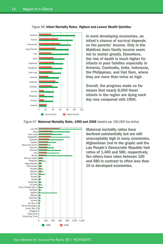![](_page_15_Figure_1.jpeg)

Figure H6 Infant Mortality Rates, Highest and Lowest Wealth Quintiles

In most developing economies, an infant's chance of survival depends on the parents' income. Only in the Maldives does family income seem not to matter greatly. Elsewhere, the risk of death is much higher for infants in poor families especially in Armenia, Cambodia, India, Indonesia, the Philippines, and Viet Nam, where they are more than twice as high.

Overall, the progress made so far means that nearly 6,000 fewer infants in the region are dying each day now compared with 1990.

![](_page_15_Figure_5.jpeg)

Figure H7 Maternal Mortality Ratio, 1990 and 2008 (deaths per 100,000 live births)

Maternal mortality ratios have declined substantially but are still unacceptably high in many economies. Afghanistan (not in the graph) and the Lao People's Democratic Republic had ratios of 1,400 and 580, respectively. Ten others have rates between 100 and 580 in contrast to often less than 10 in developed economies.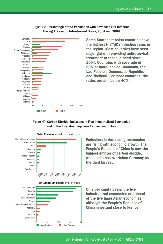![](_page_16_Figure_1.jpeg)

Figure H8 Percentage of the Population with Advanced HIV Infection Having Access to Antiretroviral Drugs, 2004 and 2009

> Some Southeast Asian countries have the highest HIV/AIDS infection rates in the region. Most countries have seen major gains in providing antiretroviral treatment to those in need since 2004. Countries with coverage of 60% or more include Cambodia, the Lao People's Democratic Republic, and Thailand. For most countries, the ratios are still below 40%.

#### Figure H9 Carbon Dioxide Emissions in Five Industrialized Economies and in the Five Most Populous Economies of Asia

![](_page_16_Figure_5.jpeg)

Emissions in developing economies are rising with economic growth. The People's Republic of China is now the biggest emitter of carbon dioxide, while India has overtaken Germany as the third largest.

Per Capita Emissions (metric tons)

![](_page_16_Figure_8.jpeg)

On a per capita basis, the five industrialized economies are ahead of the five large Asian economies, although the People's Republic of China is getting close to France.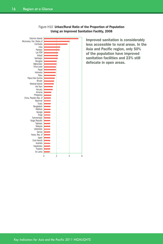![](_page_17_Figure_1.jpeg)

#### Figure H10 Urban/Rural Ratio of the Proportion of Population Using an Improved Sanitation Facility, 2008

less accessible to rural areas. In the Asia and Pacific region, only 50% of the population have improved sanitation facilities and 23% still defecate in open areas.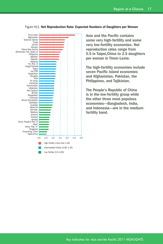![](_page_18_Figure_1.jpeg)

#### Figure H11 Net Reproduction Rate: Expected Numbers of Daughters per Woman

Asia and the Pacific contains some very high-fertility and some very low-fertility economies. Net reproduction rates range from 0.5 in Taipei,China to 2.5 daughters per woman in Timor-Leste.

The high-fertility economies include seven Pacific island economies and Afghanistan, Pakistan, the Philippines, and Tajikistan.

The People's Republic of China is in the low-fertility group while the other three most populous economies—Bangladesh, India, and Indonesia—are in the mediumfertility band.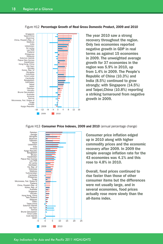![](_page_19_Figure_1.jpeg)

#### Figure H12 Percentage Growth of Real Gross Domestic Product, 2009 and 2010

The year 2010 saw a strong recovery throughout the region. Only two economies reported negative growth in GDP in real terms as against 15 economies in 2009. The unweighted average growth for 37 economies in the region was 5.9% in 2010, up from 1.4% in 2009. The People's Republic of China (10.3%) and India (8.5%) continued to grow strongly; with Singapore (14.5%) and Taipei,China (10.8%) reporting a striking turnaround from negative growth in 2009.

#### Figure H13 Consumer Price Indexes, 2009 and 2010 (annual percentage change)

![](_page_19_Figure_5.jpeg)

Consumer price inflation edged up in 2010 along with higher commodity prices and the economic recovery after 2009. In 2009 the simple average inflation rate for the 43 economies was 4.1% and this rose to 4.8% in 2010.

Overall, food prices continued to rise faster than those of other consumer items but the differences were not usually large, and in several economies, food prices actually rose more slowly than the all-items index.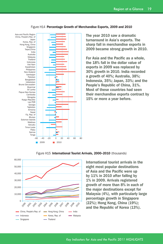![](_page_20_Figure_1.jpeg)

#### Figure H14 Percentage Growth of Merchandise Exports, 2009 and 2010

![](_page_20_Figure_3.jpeg)

Figure H15 International Tourist Arrivals, 2000-2010 (thousands)

International tourist arrivals in the eight most popular destinations of Asia and the Pacific were up by 11% in 2010 after falling by 1% in 2009. Arrivals registered growth of more than 8% in each of the major destinations except for Malaysia (4%), with particularly large percentage growth in Singapore (22%); Hong Kong, China (19%); and the Republic of Korea (13%).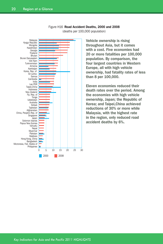![](_page_21_Figure_1.jpeg)

![](_page_21_Figure_2.jpeg)

Vehicle ownership is rising throughout Asia, but it comes with a cost. Five economies had 20 or more fatalities per 100,000 population. By comparison, the four largest countries in Western Europe, all with high vehicle ownership, had fatality rates of less than 8 per 100,000.

Eleven economies reduced their death rates over the period. Among the economies with high vehicle ownership, Japan; the Republic of Korea; and Taipei,China achieved reductions of 30% or more while Malaysia, with the highest rate in the region, only reduced road accident deaths by 6%.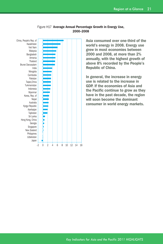![](_page_22_Figure_1.jpeg)

![](_page_22_Figure_2.jpeg)

world's energy in 2008. Energy use grew in most economies between 2000 and 2008, at more than 2% annually, with the highest growth of above 8% recorded by the People's Republic of China.

In general, the increase in energy use is related to the increase in GDP. If the economies of Asia and the Pacific continue to grow as they have in the past decade, the region will soon become the dominant consumer in world energy markets.